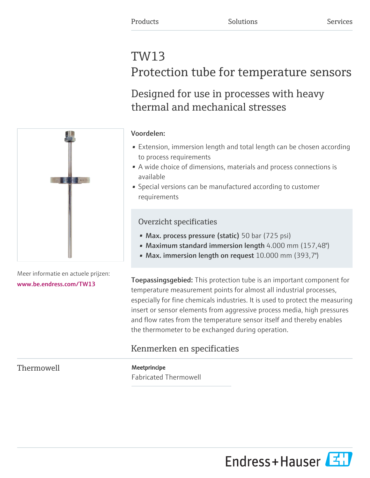# TW13 Protection tube for temperature sensors

# Designed for use in processes with heavy thermal and mechanical stresses

#### Voordelen:

- Extension, immersion length and total length can be chosen according to process requirements
- A wide choice of dimensions, materials and process connections is available
- Special versions can be manufactured according to customer requirements

### Overzicht specificaties

- Max. process pressure (static) 50 bar (725 psi)
- Maximum standard immersion length 4.000 mm (157,48")
- Max. immersion length on request 10.000 mm (393,7")

**Toepassingsgebied:** This protection tube is an important component for temperature measurement points for almost all industrial processes, especially for fine chemicals industries. It is used to protect the measuring insert or sensor elements from aggressive process media, high pressures and flow rates from the temperature sensor itself and thereby enables the thermometer to be exchanged during operation.

## Kenmerken en specificaties

Thermowell Meetprincipe

Fabricated Thermowell



Meer informatie en actuele prijzen: [www.be.endress.com/TW13](https://www.be.endress.com/TW13)

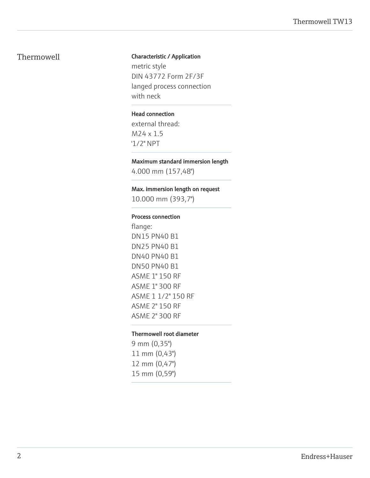#### Thermowell Characteristic / Application

metric style DIN 43772 Form 2F/3F langed process connection with neck

#### Head connection

external thread: M24 x 1.5 '1/2" NPT

#### Maximum standard immersion length

4.000 mm (157,48")

#### Max. immersion length on request

10.000 mm (393,7")

#### Process connection

flange: DN15 PN40 B1 DN25 PN40 B1 DN40 PN40 B1 DN50 PN40 B1 ASME 1" 150 RF ASME 1" 300 RF ASME 1 1/2" 150 RF ASME 2" 150 RF ASME 2" 300 RF

#### Thermowell root diameter

9 mm (0,35") 11 mm (0,43") 12 mm (0,47") 15 mm (0,59")